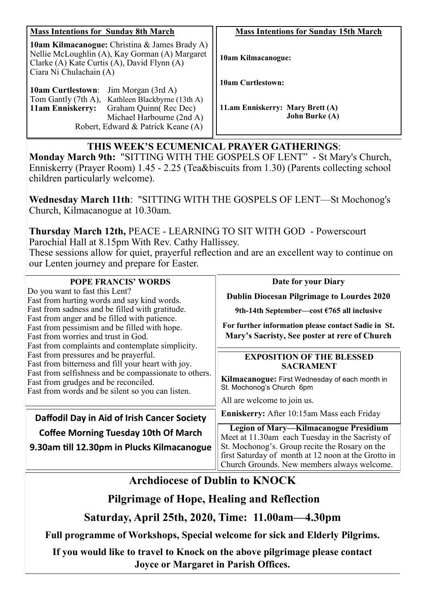| <b>Mass Intentions for Sunday 8th March</b>                                                                                                                                      | <b>Mass Intentions for Sunday 15th March</b>              |
|----------------------------------------------------------------------------------------------------------------------------------------------------------------------------------|-----------------------------------------------------------|
| <b>10am Kilmacanogue:</b> Christina & James Brady A)<br>Nellie McLoughlin (A), Kay Gorman (A) Margaret<br>Clarke (A) Kate Curtis (A), David Flynn (A)<br>Ciara Ni Chulachain (A) | 10am Kilmacanogue:                                        |
|                                                                                                                                                                                  | <b>10am Curtlestown:</b>                                  |
| Jim Morgan (3rd A)<br><b>10am Curtlestown:</b>                                                                                                                                   |                                                           |
| Tom Gantly (7th A), Kathleen Blackbyrne (13th A)                                                                                                                                 |                                                           |
| Graham Quinn(Rec Dec)<br><b>11am Enniskerry:</b><br>Michael Harbourne (2nd A)                                                                                                    | 11.am Enniskerry: Mary Brett (A)<br><b>John Burke (A)</b> |
| Robert, Edward & Patrick Keane (A)                                                                                                                                               |                                                           |

## **THIS WEEK'S ECUMENICAL PRAYER GATHERINGS**:

**Monday March 9th:** "SITTING WITH THE GOSPELS OF LENT" - St Mary's Church, Enniskerry (Prayer Room) 1.45 - 2.25 (Tea&biscuits from 1.30) (Parents collecting school children particularly welcome).

**Wednesday March 11th**: "SITTING WITH THE GOSPELS OF LENT—St Mochonog's Church, Kilmacanogue at 10.30am.

**Thursday March 12th,** PEACE - LEARNING TO SIT WITH GOD - Powerscourt Parochial Hall at 8.15pm With Rev. Cathy Hallissey. These sessions allow for quiet, prayerful reflection and are an excellent way to continue on

our Lenten journey and prepare for Easter.

| <b>POPE FRANCIS' WORDS</b>                                                                                                                                                                                                                                                                                                                                                                                                                                                                                                                                                      | Date for your Diary                                                                                                                                  |
|---------------------------------------------------------------------------------------------------------------------------------------------------------------------------------------------------------------------------------------------------------------------------------------------------------------------------------------------------------------------------------------------------------------------------------------------------------------------------------------------------------------------------------------------------------------------------------|------------------------------------------------------------------------------------------------------------------------------------------------------|
| Do you want to fast this Lent?<br>Fast from hurting words and say kind words.<br>Fast from sadness and be filled with gratitude.<br>Fast from anger and be filled with patience.<br>Fast from pessimism and be filled with hope.<br>Fast from worries and trust in God.<br>Fast from complaints and contemplate simplicity.<br>Fast from pressures and be prayerful.<br>Fast from bitterness and fill your heart with joy.<br>Fast from selfishness and be compassionate to others.<br>Fast from grudges and be reconciled.<br>Fast from words and be silent so you can listen. | <b>Dublin Diocesan Pilgrimage to Lourdes 2020</b>                                                                                                    |
|                                                                                                                                                                                                                                                                                                                                                                                                                                                                                                                                                                                 | 9th-14th September—cost $\epsilon$ 765 all inclusive                                                                                                 |
|                                                                                                                                                                                                                                                                                                                                                                                                                                                                                                                                                                                 | For further information please contact Sadie in St.<br>Mary's Sacristy, See poster at rere of Church                                                 |
|                                                                                                                                                                                                                                                                                                                                                                                                                                                                                                                                                                                 | <b>EXPOSITION OF THE BLESSED</b><br><b>SACRAMENT</b>                                                                                                 |
|                                                                                                                                                                                                                                                                                                                                                                                                                                                                                                                                                                                 | Kilmacanogue: First Wednesday of each month in<br>St. Mochonog's Church 6pm                                                                          |
|                                                                                                                                                                                                                                                                                                                                                                                                                                                                                                                                                                                 | All are welcome to join us.                                                                                                                          |
| Daffodil Day in Aid of Irish Cancer Society                                                                                                                                                                                                                                                                                                                                                                                                                                                                                                                                     | Enniskerry: After 10:15am Mass each Friday                                                                                                           |
| <b>Coffee Morning Tuesday 10th Of March</b>                                                                                                                                                                                                                                                                                                                                                                                                                                                                                                                                     | <b>Legion of Mary-Kilmacanogue Presidium</b><br>Meet at 11.30am each Tuesday in the Sacristy of                                                      |
| 9.30am till 12.30pm in Plucks Kilmacanogue                                                                                                                                                                                                                                                                                                                                                                                                                                                                                                                                      | St. Mochonog's. Group recite the Rosary on the<br>first Saturday of month at 12 noon at the Grotto in<br>Church Grounds. New members always welcome. |

# **Archdiocese of Dublin to KNOCK**

**Pilgrimage of Hope, Healing and Reflection**

**Saturday, April 25th, 2020, Time: 11.00am—4.30pm**

**Full programme of Workshops, Special welcome for sick and Elderly Pilgrims.**

**If you would like to travel to Knock on the above pilgrimage please contact Joyce or Margaret in Parish Offices.**